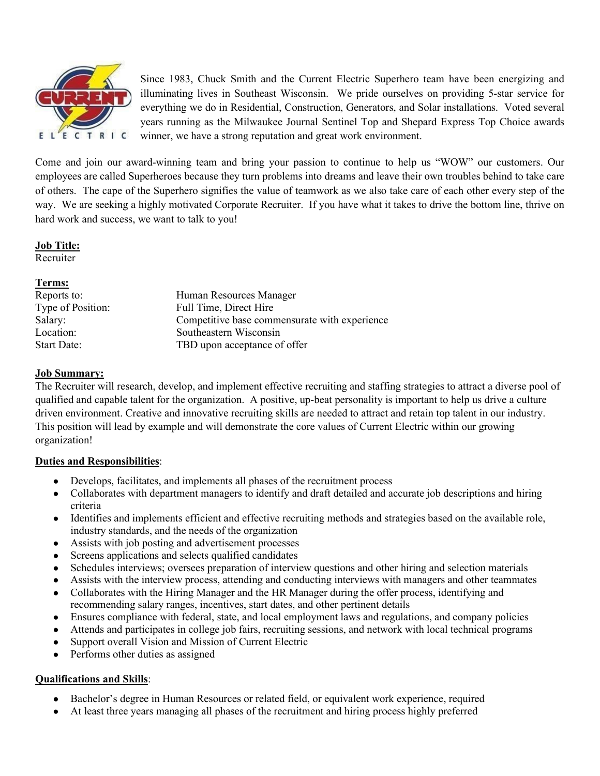

Since 1983, Chuck Smith and the Current Electric Superhero team have been energizing and illuminating lives in Southeast Wisconsin. We pride ourselves on providing 5-star service for everything we do in Residential, Construction, Generators, and Solar installations. Voted several years running as the Milwaukee Journal Sentinel Top and Shepard Express Top Choice awards winner, we have a strong reputation and great work environment.

Come and join our award-winning team and bring your passion to continue to help us "WOW" our customers. Our employees are called Superheroes because they turn problems into dreams and leave their own troubles behind to take care of others. The cape of the Superhero signifies the value of teamwork as we also take care of each other every step of the way. We are seeking a highly motivated Corporate Recruiter. If you have what it takes to drive the bottom line, thrive on hard work and success, we want to talk to you!

**Job Title:**

Recruiter

# **Terms:**

| Reports to:        | Human Resources Manager                       |
|--------------------|-----------------------------------------------|
| Type of Position:  | Full Time, Direct Hire                        |
| Salary:            | Competitive base commensurate with experience |
| Location:          | Southeastern Wisconsin                        |
| <b>Start Date:</b> | TBD upon acceptance of offer                  |
|                    |                                               |

# **Job Summary:**

The Recruiter will research, develop, and implement effective recruiting and staffing strategies to attract a diverse pool of qualified and capable talent for the organization. A positive, up-beat personality is important to help us drive a culture driven environment. Creative and innovative recruiting skills are needed to attract and retain top talent in our industry. This position will lead by example and will demonstrate the core values of Current Electric within our growing organization!

# **Duties and Responsibilities**:

- Develops, facilitates, and implements all phases of the recruitment process
- Collaborates with department managers to identify and draft detailed and accurate job descriptions and hiring criteria
- Identifies and implements efficient and effective recruiting methods and strategies based on the available role, industry standards, and the needs of the organization
- Assists with job posting and advertisement processes
- Screens applications and selects qualified candidates
- Schedules interviews; oversees preparation of interview questions and other hiring and selection materials
- Assists with the interview process, attending and conducting interviews with managers and other teammates
- Collaborates with the Hiring Manager and the HR Manager during the offer process, identifying and recommending salary ranges, incentives, start dates, and other pertinent details
- Ensures compliance with federal, state, and local employment laws and regulations, and company policies
- Attends and participates in college job fairs, recruiting sessions, and network with local technical programs
- Support overall Vision and Mission of Current Electric
- Performs other duties as assigned

# **Qualifications and Skills**:

- Bachelor's degree in Human Resources or related field, or equivalent work experience, required
- At least three years managing all phases of the recruitment and hiring process highly preferred